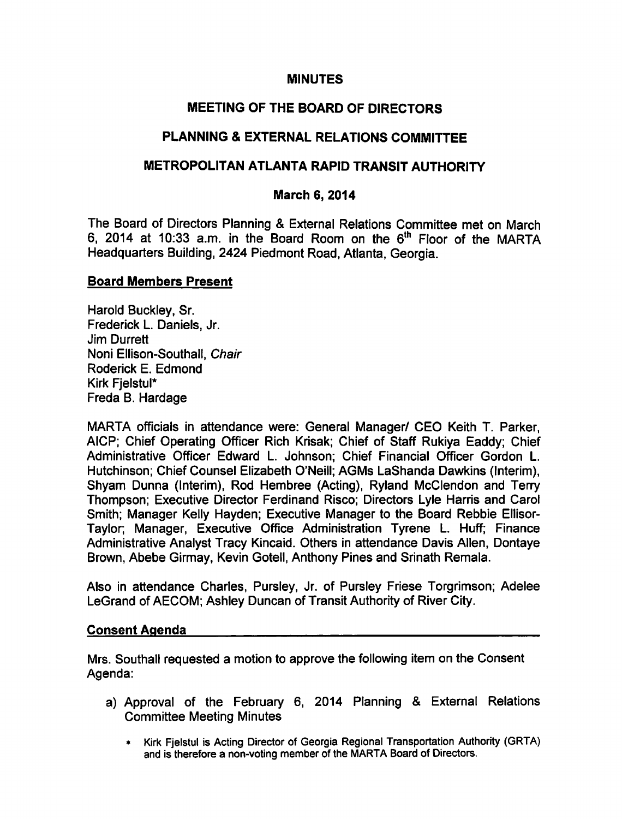### MINUTES

# MEETING OF THE BOARD OF DIRECTORS

# PLANNING & EXTERNAL RELATIONS COMMITTEE

## METROPOLITAN ATLANTA RAPID TRANSIT AUTHORITY

### March 6, 2014

The Board of Directors Planning & External Relations Committee met on March 6, 2014 at 10:33 a.m. in the Board Room on the  $6<sup>th</sup>$  Floor of the MARTA Headquarters Building, 2424 Piedmont Road, Atlanta, Georgia.

#### Board Members Present

Harold Buckley, Sr. Frederick L. Daniels, Jr. Jim Durrett Noni Ellison-Southall, Chair Roderick E. Edmond Kirk Fjelstul\* Freda B. Hardage

MARTA officials in attendance were: General Manager/ CEO Keith T. Parker, AICP; Chief Operating Officer Rich Krisak; Chief of Staff Rukiya Eaddy; Chief Administrative Officer Edward L. Johnson; Chief Financial Officer Gordon L. Hutchinson; Chief Counsel Elizabeth O'Neill; AGMs LaShanda Dawkins (Interim), Shyam Dunna (Interim), Rod Hembree (Acting), Ryland McClendon and Terry Thompson; Executive Director Ferdinand Risco; Directors Lyle Harris and Carol Smith; Manager Kelly Hayden; Executive Manager to the Board Rebbie Ellisor-Taylor; Manager, Executive Office Administration Tyrene L. Huff; Finance Administrative Analyst Tracy Kincaid. Others in attendance Davis Allen, Dontaye Brown, Abebe Girmay, Kevin Gotell, Anthony Pines and Srinath Remala.

Also in attendance Charles, Pursley, Jr. of Pursley Friese Torgrimson; Adelee LeGrand of AECOM; Ashley Duncan of Transit Authority of River City.

#### Consent Agenda

Mrs. Southall requested a motion to approve the following item on the Consent Agenda:

- a) Approval of the February 6, 2014 Planning & External Relations Committee Meeting Minutes
	- Kirk Fjelstul is Acting Director of Georgia Regional Transportation Authority (GRTA) and is therefore a non-voting member of the MARTA Board of Directors.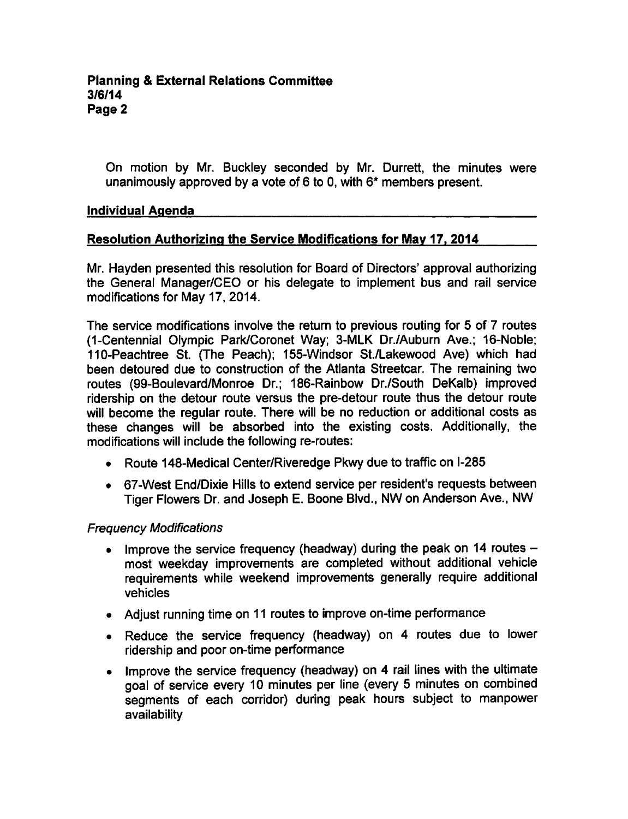On motion by Mr. Buckley seconded by Mr. Durrett, the minutes were unanimously approved by a vote of 6 to 0, with  $6*$  members present.

### Individual Agenda

### Resolution Authorizing the Service Modifications for May 17. 2014

Mr. Hayden presented this resolution for Board of Directors' approval authorizing the General Manager/CEO or his delegate to implement bus and rail service modifications for May 17, 2014.

The service modifications involve the return to previous routing for 5 of 7 routes (1-Centennial Olympic Park/Coronet Way; 3-MLK Dr./Aubum Ave.; 16-Noble; 110-Peachtree St. (The Peach); 155-Windsor St./Lakewood Ave) which had been detoured due to construction of the Atlanta Streetcar. The remaining two routes (99-Boulevard/Monroe Dr.; 186-Rainbow Dr./South DeKalb) improved ridership on the detour route versus the pre-detour route thus the detour route will become the regular route. There will be no reduction or additional costs as these changes will be absorbed into the existing costs. Additionally, the modifications will include the following re-routes:

- Route 148-Medical Center/Riveredge Pkwy due to traffic on I-285
- 67-West End/Dixie Hills to extend service per resident's requests between Tiger Flowers Dr. and Joseph E. Boone Blvd., NW on Anderson Ave., NW

### Frequency Modifications

- Improve the service frequency (headway) during the peak on 14 routes  $\bullet$ most weekday improvements are completed without additional vehicle requirements while weekend improvements generally require additional vehicles
- Adjust running time on 11 routes to improve on-time performance
- Reduce the service frequency (headway) on 4 routes due to lower ridership and poor on-time performance
- Improve the service frequency (headway) on 4 rail lines with the ultimate  $\bullet$ goal of service every 10 minutes per line (every 5 minutes on combined segments of each corridor) during peak hours subject to manpower availability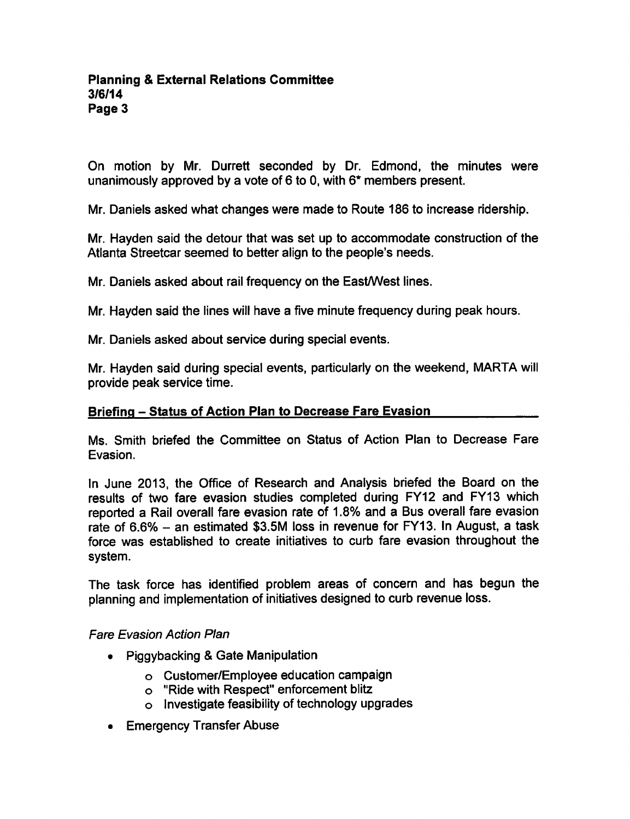On motion by Mr. Durrett seconded by Dr. Edmond, the minutes were unanimously approved by a vote of 6 to 0, with  $6*$  members present.

Mr. Daniels asked what changes were made to Route 186 to increase ridership.

Mr. Hayden said the detour that was set up to accommodate construction of the Atlanta Streetcar seemed to better align to the people's needs.

Mr. Daniels asked about rail frequency on the East/West lines.

Mr. Hayden said the lines will have a five minute frequency during peak hours.

Mr. Daniels asked about service during special events.

Mr. Hayden said during special events, particularly on the weekend, MARTA will provide peak service time.

#### Briefing - Status of Action Plan to Decrease Fare Evasion

Ms. Smith briefed the Committee on Status of Action Plan to Decrease Fare Evasion.

In June 2013, the Office of Research and Analysis briefed the Board on the results of two fare evasion studies completed during FY12 and FY13 which reported a Rail overall fare evasion rate of 1.8% and a Bus overall fare evasion rate of 6.6%  $-$  an estimated \$3.5M loss in revenue for FY13. In August, a task force was established to create initiatives to curb fare evasion throughout the system.

The task force has identified problem areas of concern and has begun the planning and implementation of initiatives designed to curb revenue loss.

#### Fare Evasion Action Plan

- Piggybacking & Gate Manipulation
	- Customer/Employee education campaign
	- "Ride with Respect" enforcement blitz
	- $\circ$  Investigate feasibility of technology upgrades
- Emergency Transfer Abuse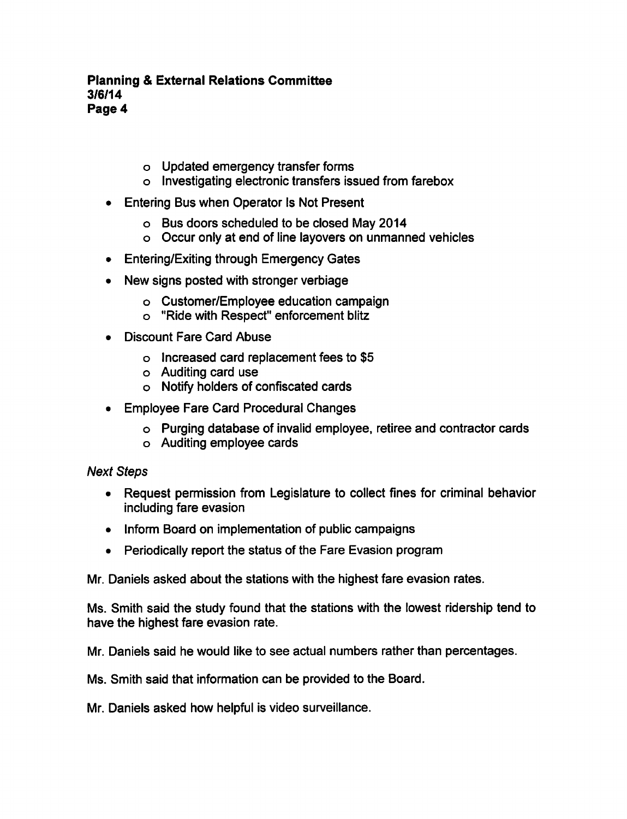#### Planning External Relations Committee 3/6/14 Page 4

- Updated emergency transfer forms
- o Investigating electronic transfers issued from farebox
- Entering Bus when Operator Is Not Present
	- Bus doors scheduled to be closed May 2014
	- Occur only at end of line layovers on unmanned vehicles
- Entering/Exiting through Emergency Gates
- New signs posted with stronger verbiage
	- Customer/Employee education campaign
	- "Ride with Respect" enforcement blitz
- Discount Fare Card Abuse
	- o Increased card replacement fees to \$5
	- Auditing card use
	- Notify holders of confiscated cards
- Employee Fare Card Procedural Changes
	- Purging database of invalid employee, retiree and contractor cards
	- Auditing employee cards

### Next Steps

- Request permission from Legislature to collect fines for criminal behavior including fare evasion
- Inform Board on implementation of public campaigns
- Periodically report the status of the Fare Evasion program  $\bullet$

Mr. Daniels asked about the stations with the highest fare evasion rates.

Ms. Smith said the study found that the stations with the lowest ridership tend to have the highest fare evasion rate.

Mr. Daniels said he would like to see actual numbers rather than percentages.

Ms. Smith said that information can be provided to the Board.

Mr. Daniels asked how helpful is video surveillance.